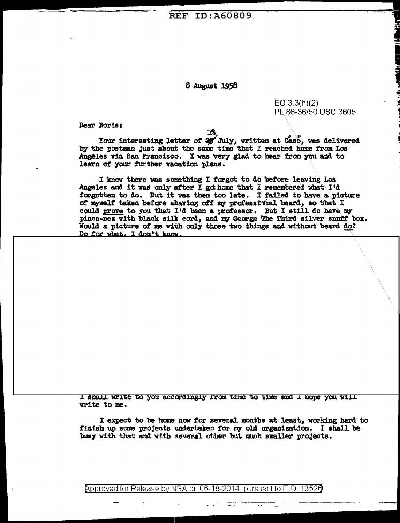**REF ID: A60809** 

## 8 August 1958

 $EO 3.3(h)(2)$ PL 86-36/50 USC 3605

Dear Boris:

28

Your interesting letter of  $\frac{2}{30}$  July, written at Gaso, was delivered by the postwan just about the same time that I reached home from Los Angeles via San Francisco. I was very glad to hear from you and to learn of your further vacation plans.

I knew there was something I forgot to do before leaving Los Angeles and it was only after I got home that I remembered what I'd forgotten to do. But it was then too late. I failed to have a picture of myself taken before shaving off my professbrial beard, so that I could prove to you that I'd been a professor. But I still do have my pince-nez with black silk cord, and my George The Third silver snuff box. Would a picture of me with only those two things and without beard do? Do for what. I don't know.

I shall write to you accordingly from time to time and I hope you will write to me.

I expect to be home now for several months at least, working hard to finish up some projects undertaken for my old organization. I shall be busy with that and with several other but much smaller projects.

Approved for Release by NSA on 06-18-2014 pursuant to E.O. 13526